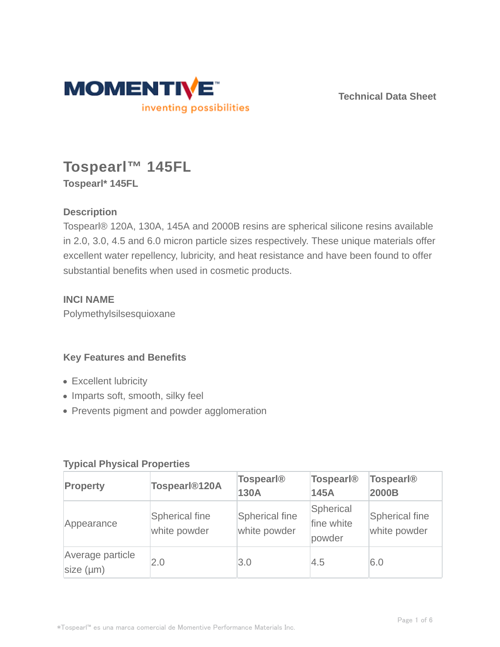

**Technical Data Sheet**

# **Tospearl™ 145FL Tospearl\* 145FL**

## **Description**

Tospearl® 120A, 130A, 145A and 2000B resins are spherical silicone resins available in 2.0, 3.0, 4.5 and 6.0 micron particle sizes respectively. These unique materials offer excellent water repellency, lubricity, and heat resistance and have been found to offer substantial benefits when used in cosmetic products.

## **INCI NAME**

Polymethylsilsesquioxane

## **Key Features and Benefits**

- Excellent lubricity
- Imparts soft, smooth, silky feel
- Prevents pigment and powder agglomeration

## **Typical Physical Properties**

| Property                           | Tospearl <sup>®120A</sup>             | <b>Tospearl®</b><br>130A              | <b>Tospearl®</b><br>145A          | <b>Tospearl®</b><br>2000B             |
|------------------------------------|---------------------------------------|---------------------------------------|-----------------------------------|---------------------------------------|
| Appearance                         | <b>Spherical fine</b><br>white powder | <b>Spherical fine</b><br>white powder | Spherical<br>fine white<br>powder | <b>Spherical fine</b><br>white powder |
| Average particle<br>size $(\mu m)$ | 2.0                                   | 3.0                                   | 4.5                               | 6.0                                   |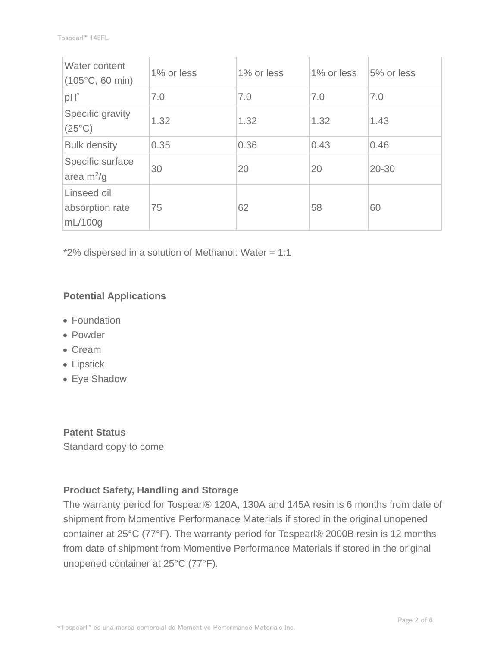| Water content<br>$(105^{\circ}C, 60 \text{ min})$ | 1% or less | 1% or less | 1% or less | 5% or less |
|---------------------------------------------------|------------|------------|------------|------------|
| pH <sup>*</sup>                                   | 7.0        | 7.0        | 7.0        | 7.0        |
| Specific gravity<br>$(25^{\circ}C)$               | 1.32       | 1.32       | 1.32       | 1.43       |
| <b>Bulk density</b>                               | 0.35       | 0.36       | 0.43       | 0.46       |
| Specific surface<br>area $m^2/g$                  | 30         | 20         | 20         | 20-30      |
| Linseed oil<br>absorption rate<br>mL/100q         | 75         | 62         | 58         | 60         |

\*2% dispersed in a solution of Methanol: Water = 1:1

## **Potential Applications**

- Foundation
- Powder
- Cream
- Lipstick
- Eye Shadow

**Patent Status** Standard copy to come

## **Product Safety, Handling and Storage**

The warranty period for Tospearl® 120A, 130A and 145A resin is 6 months from date of shipment from Momentive Performanace Materials if stored in the original unopened container at 25°C (77°F). The warranty period for Tospearl® 2000B resin is 12 months from date of shipment from Momentive Performance Materials if stored in the original unopened container at 25°C (77°F).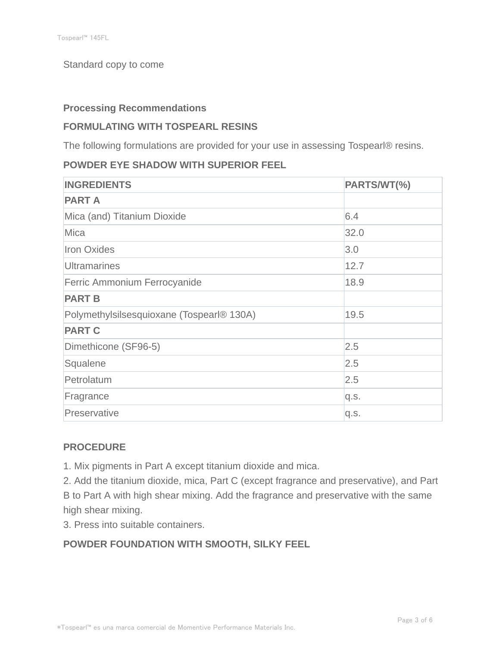#### Standard copy to come

#### **Processing Recommendations**

## **FORMULATING WITH TOSPEARL RESINS**

The following formulations are provided for your use in assessing Tospearl® resins.

## **POWDER EYE SHADOW WITH SUPERIOR FEEL**

| <b>INGREDIENTS</b>                        | PARTS/WT(%) |
|-------------------------------------------|-------------|
| <b>PART A</b>                             |             |
| Mica (and) Titanium Dioxide               | 6.4         |
| <b>Mica</b>                               | 32.0        |
| <b>Iron Oxides</b>                        | 3.0         |
| <b>Ultramarines</b>                       | 12.7        |
| Ferric Ammonium Ferrocyanide              | 18.9        |
| <b>PART B</b>                             |             |
| Polymethylsilsesquioxane (Tospearl® 130A) | 19.5        |
| <b>PART C</b>                             |             |
| Dimethicone (SF96-5)                      | 2.5         |
| Squalene                                  | 2.5         |
| Petrolatum                                | 2.5         |
| Fragrance                                 | q.s.        |
| Preservative                              | q.s.        |

## **PROCEDURE**

1. Mix pigments in Part A except titanium dioxide and mica.

2. Add the titanium dioxide, mica, Part C (except fragrance and preservative), and Part B to Part A with high shear mixing. Add the fragrance and preservative with the same high shear mixing.

3. Press into suitable containers.

## **POWDER FOUNDATION WITH SMOOTH, SILKY FEEL**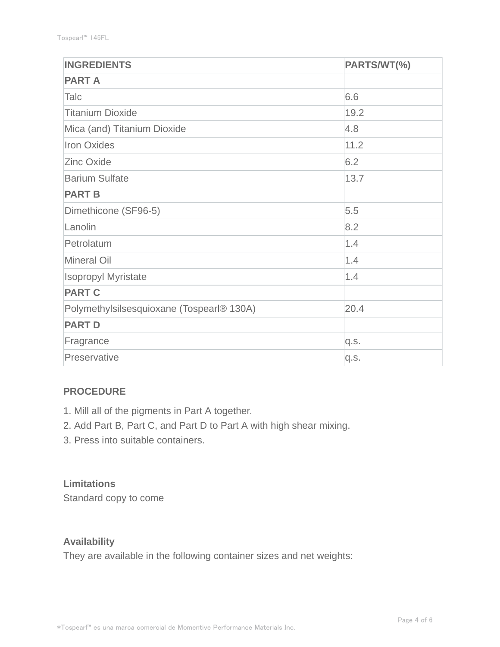| <b>INGREDIENTS</b>                        | PARTS/WT(%) |
|-------------------------------------------|-------------|
| <b>PART A</b>                             |             |
| Talc                                      | 6.6         |
| <b>Titanium Dioxide</b>                   | 19.2        |
| Mica (and) Titanium Dioxide               | 4.8         |
| <b>Iron Oxides</b>                        | 11.2        |
| <b>Zinc Oxide</b>                         | 6.2         |
| <b>Barium Sulfate</b>                     | 13.7        |
| <b>PART B</b>                             |             |
| Dimethicone (SF96-5)                      | 5.5         |
| Lanolin                                   | 8.2         |
| Petrolatum                                | 1.4         |
| <b>Mineral Oil</b>                        | 1.4         |
| <b>Isopropyl Myristate</b>                | 1.4         |
| <b>PART C</b>                             |             |
| Polymethylsilsesquioxane (Tospearl® 130A) | 20.4        |
| <b>PART D</b>                             |             |
| Fragrance                                 | q.s.        |
| Preservative                              | q.s.        |

## **PROCEDURE**

- 1. Mill all of the pigments in Part A together.
- 2. Add Part B, Part C, and Part D to Part A with high shear mixing.
- 3. Press into suitable containers.

## **Limitations**

Standard copy to come

## **Availability**

They are available in the following container sizes and net weights: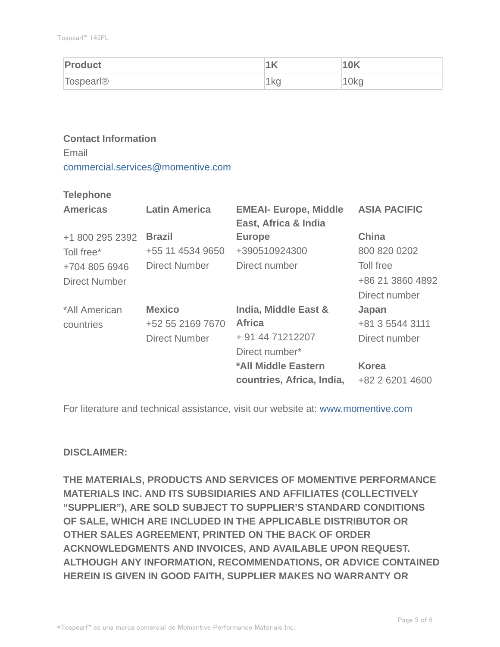| Product          | .   | <b>10K</b>       |
|------------------|-----|------------------|
| <b>Tospearl®</b> | 1kg | 10 <sub>kq</sub> |

# **Contact Information**

Email commercial.services@momentive.com

#### **Telephone**

| <b>Americas</b> | <b>Latin America</b> | <b>EMEAI- Europe, Middle</b><br>East, Africa & India | <b>ASIA PACIFIC</b> |
|-----------------|----------------------|------------------------------------------------------|---------------------|
| +1 800 295 2392 | <b>Brazil</b>        | <b>Europe</b>                                        | <b>China</b>        |
| Toll free*      | +55 11 4534 9650     | +390510924300                                        | 800 820 0202        |
| +704 805 6946   | <b>Direct Number</b> | Direct number                                        | Toll free           |
| Direct Number   |                      |                                                      | +86 21 3860 4892    |
|                 |                      |                                                      | Direct number       |
| *All American   | <b>Mexico</b>        | India, Middle East &                                 | Japan               |
| countries       | +52 55 2169 7670     | <b>Africa</b>                                        | +81 3 5544 3111     |
|                 | <b>Direct Number</b> | + 91 44 71212207                                     | Direct number       |
|                 |                      | Direct number*                                       |                     |
|                 |                      | *All Middle Eastern                                  | <b>Korea</b>        |
|                 |                      | countries, Africa, India,                            | +82 2 6201 4600     |

For literature and technical assistance, visit our website at: www.momentive.com

## **DISCLAIMER:**

**THE MATERIALS, PRODUCTS AND SERVICES OF MOMENTIVE PERFORMANCE MATERIALS INC. AND ITS SUBSIDIARIES AND AFFILIATES (COLLECTIVELY "SUPPLIER"), ARE SOLD SUBJECT TO SUPPLIER'S STANDARD CONDITIONS OF SALE, WHICH ARE INCLUDED IN THE APPLICABLE DISTRIBUTOR OR OTHER SALES AGREEMENT, PRINTED ON THE BACK OF ORDER ACKNOWLEDGMENTS AND INVOICES, AND AVAILABLE UPON REQUEST. ALTHOUGH ANY INFORMATION, RECOMMENDATIONS, OR ADVICE CONTAINED HEREIN IS GIVEN IN GOOD FAITH, SUPPLIER MAKES NO WARRANTY OR**